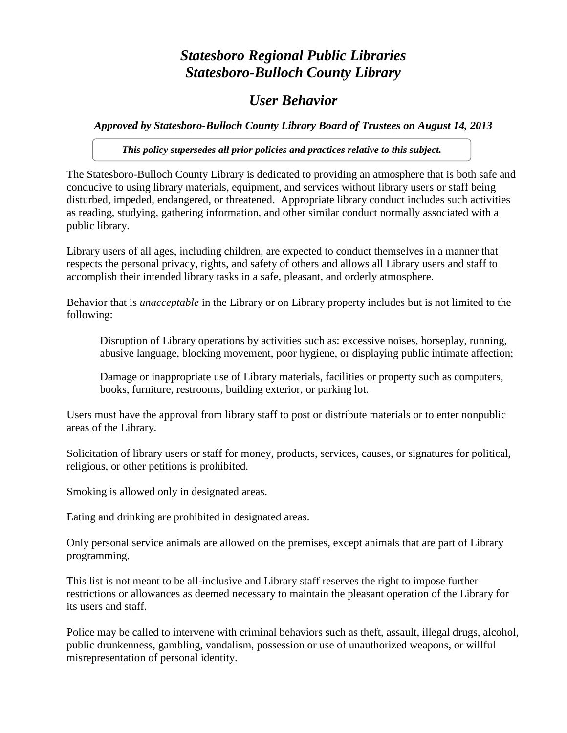# *Statesboro Regional Public Libraries Statesboro-Bulloch County Library*

## *User Behavior*

*Approved by Statesboro-Bulloch County Library Board of Trustees on August 14, 2013*

*This policy supersedes all prior policies and practices relative to this subject.*

The Statesboro-Bulloch County Library is dedicated to providing an atmosphere that is both safe and conducive to using library materials, equipment, and services without library users or staff being disturbed, impeded, endangered, or threatened. Appropriate library conduct includes such activities as reading, studying, gathering information, and other similar conduct normally associated with a public library.

Library users of all ages, including children, are expected to conduct themselves in a manner that respects the personal privacy, rights, and safety of others and allows all Library users and staff to accomplish their intended library tasks in a safe, pleasant, and orderly atmosphere.

Behavior that is *unacceptable* in the Library or on Library property includes but is not limited to the following:

Disruption of Library operations by activities such as: excessive noises, horseplay, running, abusive language, blocking movement, poor hygiene, or displaying public intimate affection;

Damage or inappropriate use of Library materials, facilities or property such as computers, books, furniture, restrooms, building exterior, or parking lot.

Users must have the approval from library staff to post or distribute materials or to enter nonpublic areas of the Library.

Solicitation of library users or staff for money, products, services, causes, or signatures for political, religious, or other petitions is prohibited.

Smoking is allowed only in designated areas.

Eating and drinking are prohibited in designated areas.

Only personal service animals are allowed on the premises, except animals that are part of Library programming.

This list is not meant to be all-inclusive and Library staff reserves the right to impose further restrictions or allowances as deemed necessary to maintain the pleasant operation of the Library for its users and staff.

Police may be called to intervene with criminal behaviors such as theft, assault, illegal drugs, alcohol, public drunkenness, gambling, vandalism, possession or use of unauthorized weapons, or willful misrepresentation of personal identity.